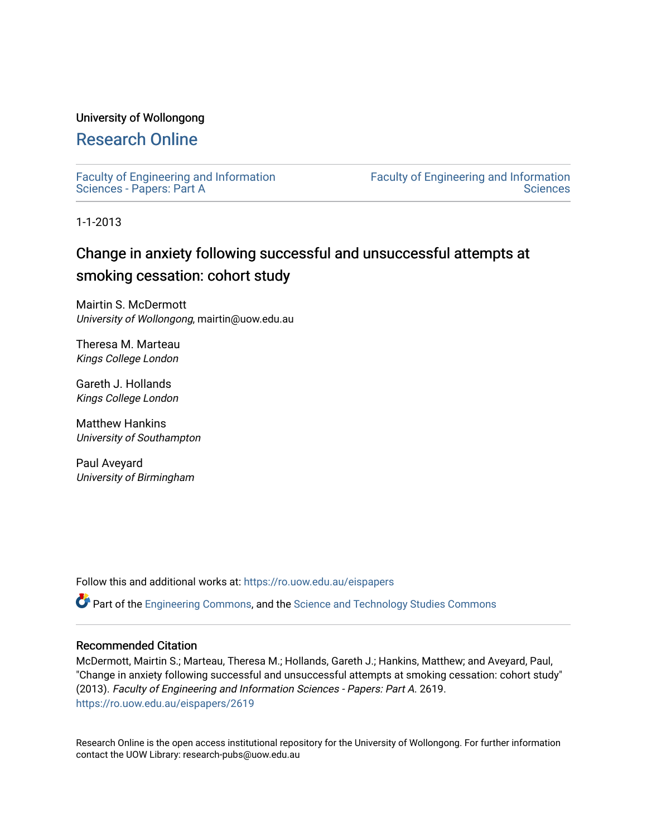## University of Wollongong

# [Research Online](https://ro.uow.edu.au/)

[Faculty of Engineering and Information](https://ro.uow.edu.au/eispapers)  [Sciences - Papers: Part A](https://ro.uow.edu.au/eispapers) 

[Faculty of Engineering and Information](https://ro.uow.edu.au/eis)  **Sciences** 

1-1-2013

# Change in anxiety following successful and unsuccessful attempts at smoking cessation: cohort study

Mairtin S. McDermott University of Wollongong, mairtin@uow.edu.au

Theresa M. Marteau Kings College London

Gareth J. Hollands Kings College London

Matthew Hankins University of Southampton

Paul Aveyard University of Birmingham

Follow this and additional works at: [https://ro.uow.edu.au/eispapers](https://ro.uow.edu.au/eispapers?utm_source=ro.uow.edu.au%2Feispapers%2F2619&utm_medium=PDF&utm_campaign=PDFCoverPages)

Part of the [Engineering Commons](http://network.bepress.com/hgg/discipline/217?utm_source=ro.uow.edu.au%2Feispapers%2F2619&utm_medium=PDF&utm_campaign=PDFCoverPages), and the [Science and Technology Studies Commons](http://network.bepress.com/hgg/discipline/435?utm_source=ro.uow.edu.au%2Feispapers%2F2619&utm_medium=PDF&utm_campaign=PDFCoverPages)

#### Recommended Citation

McDermott, Mairtin S.; Marteau, Theresa M.; Hollands, Gareth J.; Hankins, Matthew; and Aveyard, Paul, "Change in anxiety following successful and unsuccessful attempts at smoking cessation: cohort study" (2013). Faculty of Engineering and Information Sciences - Papers: Part A. 2619. [https://ro.uow.edu.au/eispapers/2619](https://ro.uow.edu.au/eispapers/2619?utm_source=ro.uow.edu.au%2Feispapers%2F2619&utm_medium=PDF&utm_campaign=PDFCoverPages) 

Research Online is the open access institutional repository for the University of Wollongong. For further information contact the UOW Library: research-pubs@uow.edu.au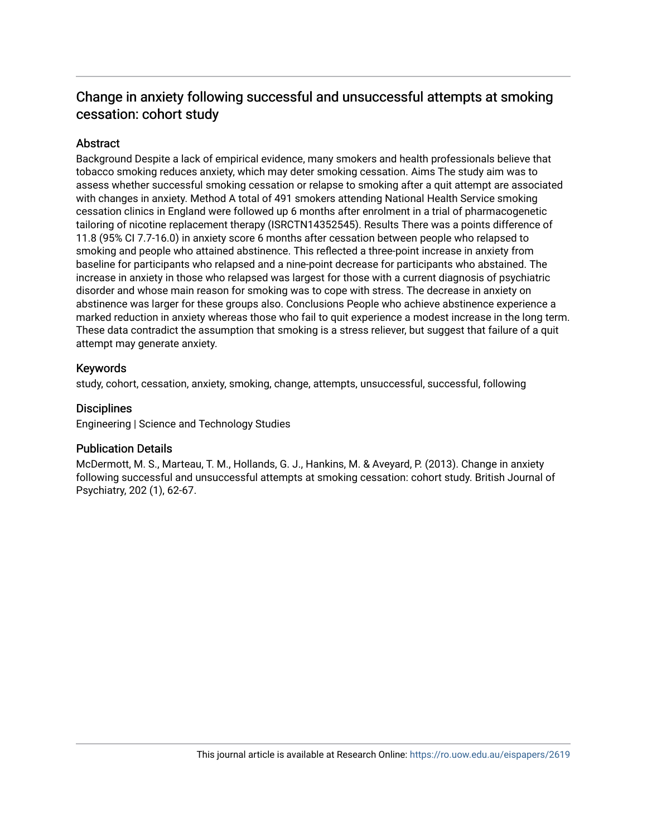# Change in anxiety following successful and unsuccessful attempts at smoking cessation: cohort study

# **Abstract**

Background Despite a lack of empirical evidence, many smokers and health professionals believe that tobacco smoking reduces anxiety, which may deter smoking cessation. Aims The study aim was to assess whether successful smoking cessation or relapse to smoking after a quit attempt are associated with changes in anxiety. Method A total of 491 smokers attending National Health Service smoking cessation clinics in England were followed up 6 months after enrolment in a trial of pharmacogenetic tailoring of nicotine replacement therapy (ISRCTN14352545). Results There was a points difference of 11.8 (95% CI 7.7-16.0) in anxiety score 6 months after cessation between people who relapsed to smoking and people who attained abstinence. This reflected a three-point increase in anxiety from baseline for participants who relapsed and a nine-point decrease for participants who abstained. The increase in anxiety in those who relapsed was largest for those with a current diagnosis of psychiatric disorder and whose main reason for smoking was to cope with stress. The decrease in anxiety on abstinence was larger for these groups also. Conclusions People who achieve abstinence experience a marked reduction in anxiety whereas those who fail to quit experience a modest increase in the long term. These data contradict the assumption that smoking is a stress reliever, but suggest that failure of a quit attempt may generate anxiety.

# Keywords

study, cohort, cessation, anxiety, smoking, change, attempts, unsuccessful, successful, following

## **Disciplines**

Engineering | Science and Technology Studies

# Publication Details

McDermott, M. S., Marteau, T. M., Hollands, G. J., Hankins, M. & Aveyard, P. (2013). Change in anxiety following successful and unsuccessful attempts at smoking cessation: cohort study. British Journal of Psychiatry, 202 (1), 62-67.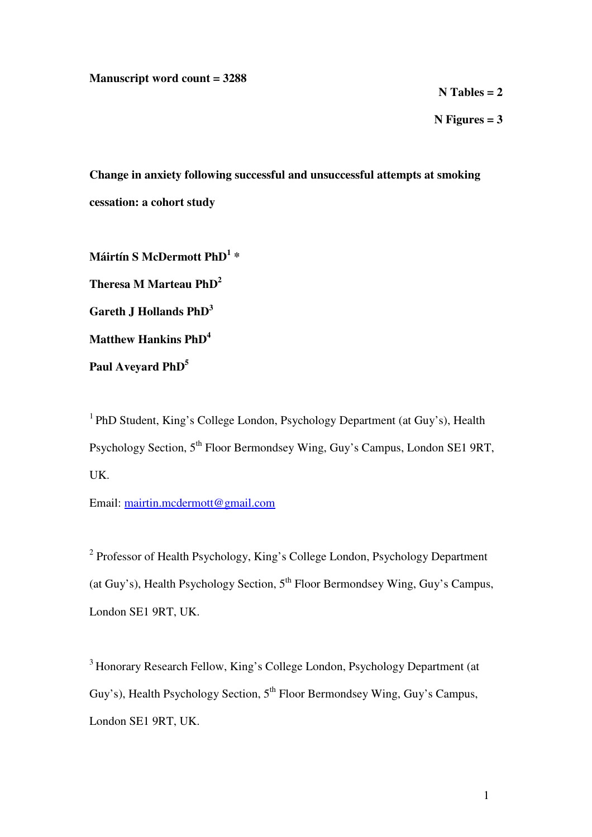## **Manuscript word count = 3288**

**N Tables = 2** 

**N Figures = 3** 

**Change in anxiety following successful and unsuccessful attempts at smoking cessation: a cohort study** 

**Máirtín S McDermott PhD<sup>1</sup> \* Theresa M Marteau PhD<sup>2</sup> Gareth J Hollands PhD<sup>3</sup> Matthew Hankins PhD<sup>4</sup> Paul Aveyard PhD<sup>5</sup>** 

<sup>1</sup> PhD Student, King's College London, Psychology Department (at Guy's), Health Psychology Section, 5<sup>th</sup> Floor Bermondsey Wing, Guy's Campus, London SE1 9RT, UK.

Email: mairtin.mcdermott@gmail.com

<sup>2</sup> Professor of Health Psychology, King's College London, Psychology Department (at Guy's), Health Psychology Section,  $5<sup>th</sup>$  Floor Bermondsey Wing, Guy's Campus, London SE1 9RT, UK.

<sup>3</sup> Honorary Research Fellow, King's College London, Psychology Department (at Guy's), Health Psychology Section, 5<sup>th</sup> Floor Bermondsey Wing, Guy's Campus, London SE1 9RT, UK.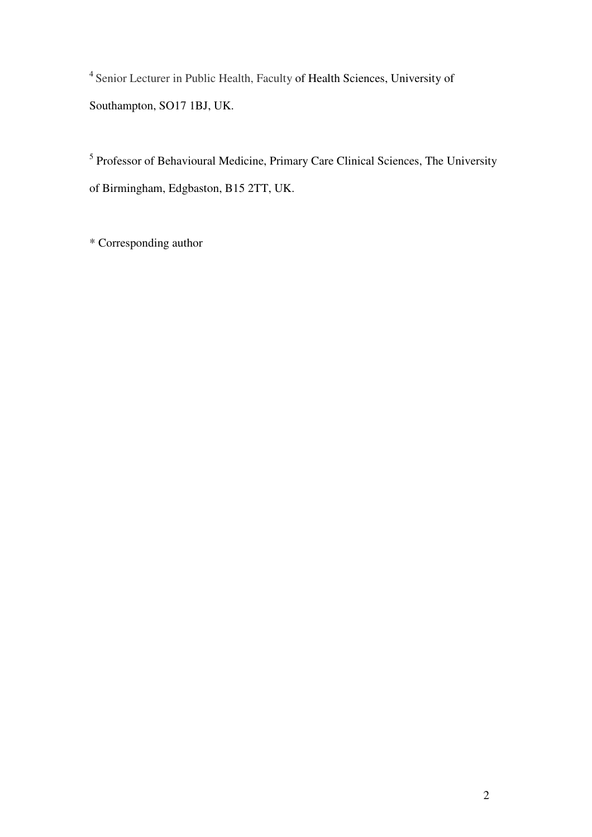<sup>4</sup> Senior Lecturer in Public Health, Faculty of Health Sciences, University of Southampton, SO17 1BJ, UK.

<sup>5</sup> Professor of Behavioural Medicine, Primary Care Clinical Sciences, The University of Birmingham, Edgbaston, B15 2TT, UK.

\* Corresponding author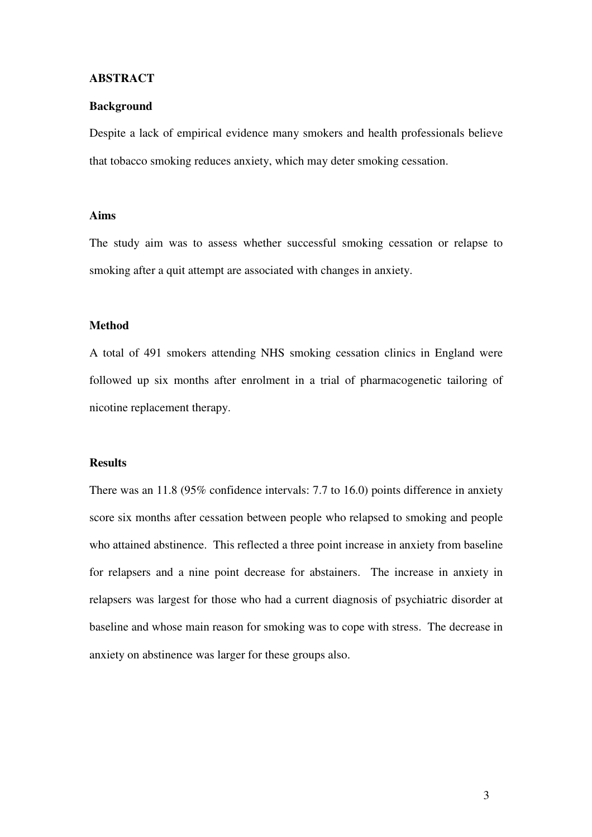#### **ABSTRACT**

#### **Background**

Despite a lack of empirical evidence many smokers and health professionals believe that tobacco smoking reduces anxiety, which may deter smoking cessation.

# **Aims**

The study aim was to assess whether successful smoking cessation or relapse to smoking after a quit attempt are associated with changes in anxiety.

## **Method**

A total of 491 smokers attending NHS smoking cessation clinics in England were followed up six months after enrolment in a trial of pharmacogenetic tailoring of nicotine replacement therapy.

## **Results**

There was an 11.8 (95% confidence intervals: 7.7 to 16.0) points difference in anxiety score six months after cessation between people who relapsed to smoking and people who attained abstinence. This reflected a three point increase in anxiety from baseline for relapsers and a nine point decrease for abstainers. The increase in anxiety in relapsers was largest for those who had a current diagnosis of psychiatric disorder at baseline and whose main reason for smoking was to cope with stress. The decrease in anxiety on abstinence was larger for these groups also.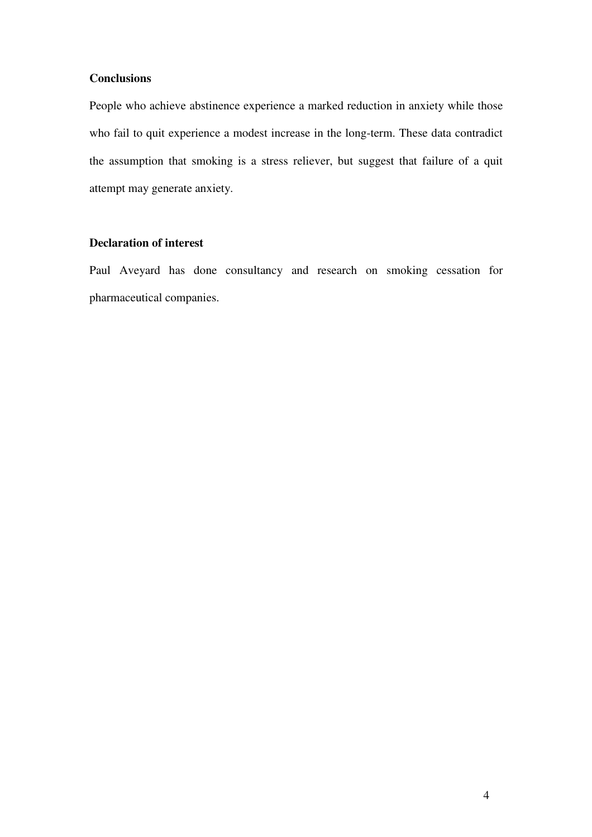# **Conclusions**

People who achieve abstinence experience a marked reduction in anxiety while those who fail to quit experience a modest increase in the long-term. These data contradict the assumption that smoking is a stress reliever, but suggest that failure of a quit attempt may generate anxiety.

# **Declaration of interest**

Paul Aveyard has done consultancy and research on smoking cessation for pharmaceutical companies.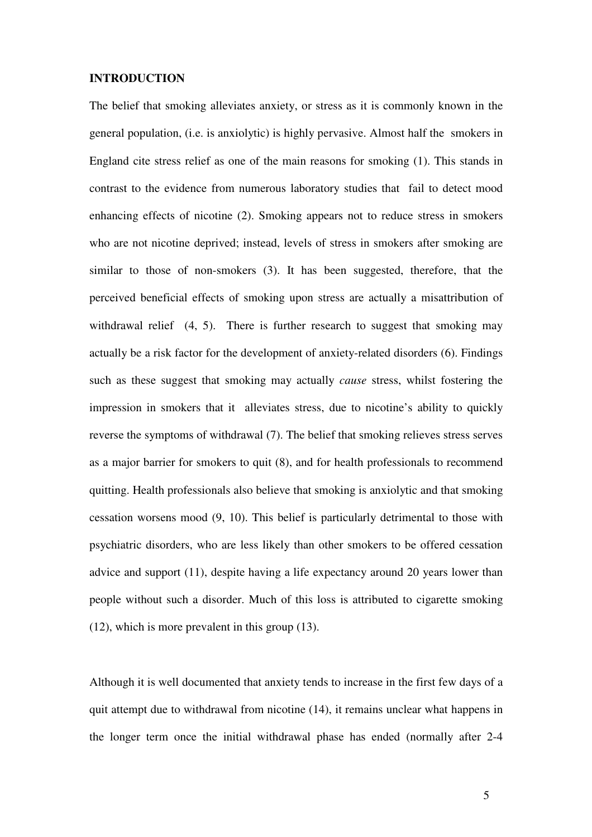#### **INTRODUCTION**

The belief that smoking alleviates anxiety, or stress as it is commonly known in the general population, (i.e. is anxiolytic) is highly pervasive. Almost half the smokers in England cite stress relief as one of the main reasons for smoking (1). This stands in contrast to the evidence from numerous laboratory studies that fail to detect mood enhancing effects of nicotine (2). Smoking appears not to reduce stress in smokers who are not nicotine deprived; instead, levels of stress in smokers after smoking are similar to those of non-smokers (3). It has been suggested, therefore, that the perceived beneficial effects of smoking upon stress are actually a misattribution of withdrawal relief (4, 5). There is further research to suggest that smoking may actually be a risk factor for the development of anxiety-related disorders (6). Findings such as these suggest that smoking may actually *cause* stress, whilst fostering the impression in smokers that it alleviates stress, due to nicotine's ability to quickly reverse the symptoms of withdrawal (7). The belief that smoking relieves stress serves as a major barrier for smokers to quit (8), and for health professionals to recommend quitting. Health professionals also believe that smoking is anxiolytic and that smoking cessation worsens mood (9, 10). This belief is particularly detrimental to those with psychiatric disorders, who are less likely than other smokers to be offered cessation advice and support (11), despite having a life expectancy around 20 years lower than people without such a disorder. Much of this loss is attributed to cigarette smoking (12), which is more prevalent in this group (13).

Although it is well documented that anxiety tends to increase in the first few days of a quit attempt due to withdrawal from nicotine (14), it remains unclear what happens in the longer term once the initial withdrawal phase has ended (normally after 2-4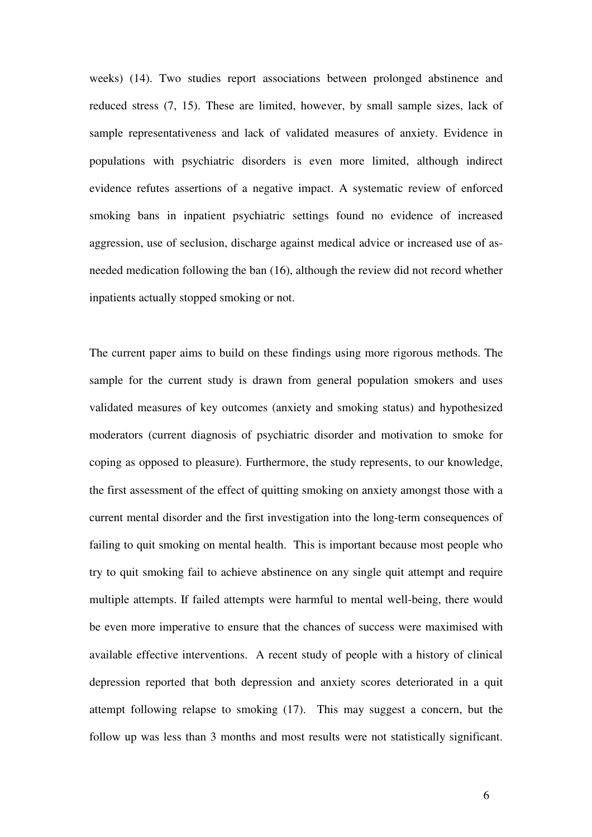weeks) (14). Two studies report associations between prolonged abstinence and reduced stress (7, 15). These are limited, however, by small sample sizes, lack of sample representativeness and lack of validated measures of anxiety. Evidence in populations with psychiatric disorders is even more limited, although indirect evidence refutes assertions of a negative impact. A systematic review of enforced smoking bans in inpatient psychiatric settings found no evidence of increased aggression, use of seclusion, discharge against medical advice or increased use of asneeded medication following the ban (16), although the review did not record whether inpatients actually stopped smoking or not.

The current paper aims to build on these findings using more rigorous methods. The sample for the current study is drawn from general population smokers and uses validated measures of key outcomes (anxiety and smoking status) and hypothesized moderators (current diagnosis of psychiatric disorder and motivation to smoke for coping as opposed to pleasure). Furthermore, the study represents, to our knowledge, the first assessment of the effect of quitting smoking on anxiety amongst those with a current mental disorder and the first investigation into the long-term consequences of failing to quit smoking on mental health. This is important because most people who try to quit smoking fail to achieve abstinence on any single quit attempt and require multiple attempts. If failed attempts were harmful to mental well-being, there would be even more imperative to ensure that the chances of success were maximised with available effective interventions. A recent study of people with a history of clinical depression reported that both depression and anxiety scores deteriorated in a quit attempt following relapse to smoking (17). This may suggest a concern, but the follow up was less than 3 months and most results were not statistically significant.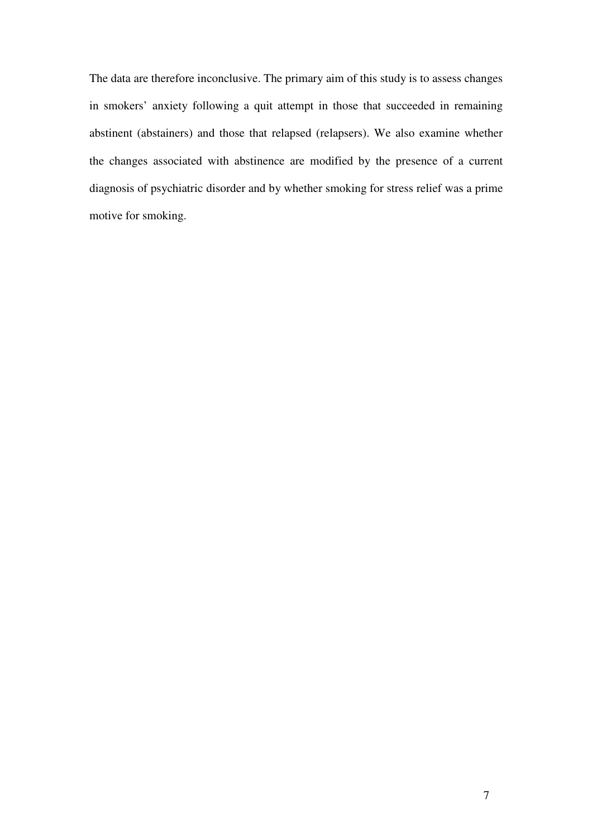The data are therefore inconclusive. The primary aim of this study is to assess changes in smokers' anxiety following a quit attempt in those that succeeded in remaining abstinent (abstainers) and those that relapsed (relapsers). We also examine whether the changes associated with abstinence are modified by the presence of a current diagnosis of psychiatric disorder and by whether smoking for stress relief was a prime motive for smoking.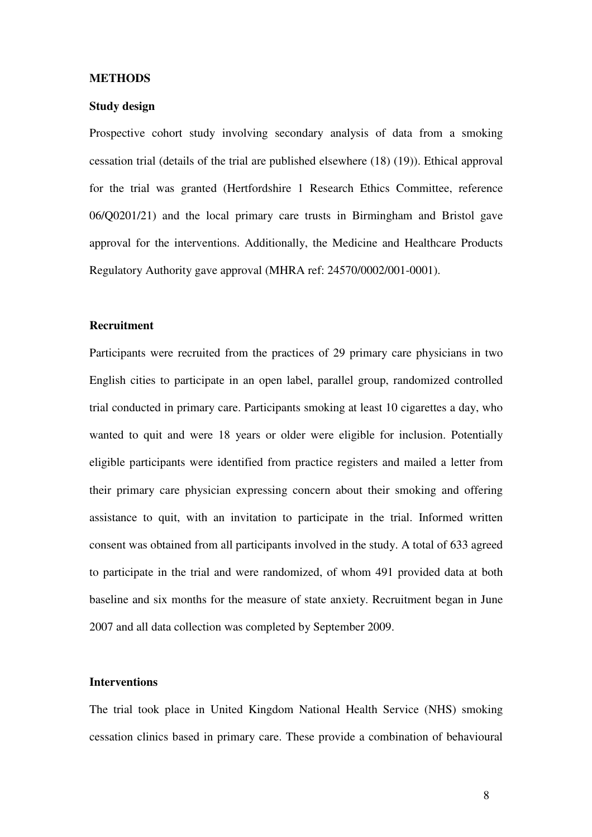#### **METHODS**

#### **Study design**

Prospective cohort study involving secondary analysis of data from a smoking cessation trial (details of the trial are published elsewhere (18) (19)). Ethical approval for the trial was granted (Hertfordshire 1 Research Ethics Committee, reference 06/Q0201/21) and the local primary care trusts in Birmingham and Bristol gave approval for the interventions. Additionally, the Medicine and Healthcare Products Regulatory Authority gave approval (MHRA ref: 24570/0002/001-0001).

## **Recruitment**

Participants were recruited from the practices of 29 primary care physicians in two English cities to participate in an open label, parallel group, randomized controlled trial conducted in primary care. Participants smoking at least 10 cigarettes a day, who wanted to quit and were 18 years or older were eligible for inclusion. Potentially eligible participants were identified from practice registers and mailed a letter from their primary care physician expressing concern about their smoking and offering assistance to quit, with an invitation to participate in the trial. Informed written consent was obtained from all participants involved in the study. A total of 633 agreed to participate in the trial and were randomized, of whom 491 provided data at both baseline and six months for the measure of state anxiety. Recruitment began in June 2007 and all data collection was completed by September 2009.

# **Interventions**

The trial took place in United Kingdom National Health Service (NHS) smoking cessation clinics based in primary care. These provide a combination of behavioural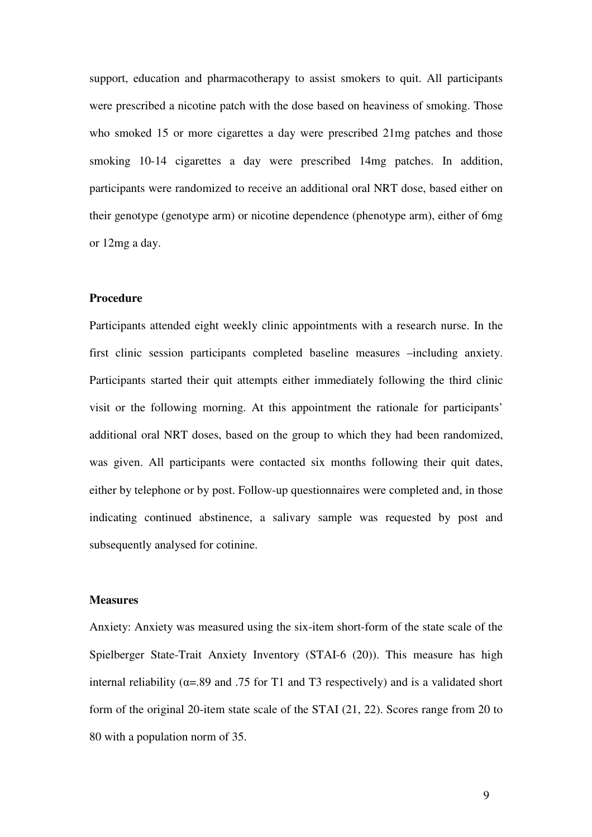support, education and pharmacotherapy to assist smokers to quit. All participants were prescribed a nicotine patch with the dose based on heaviness of smoking. Those who smoked 15 or more cigarettes a day were prescribed 21mg patches and those smoking 10-14 cigarettes a day were prescribed 14mg patches. In addition, participants were randomized to receive an additional oral NRT dose, based either on their genotype (genotype arm) or nicotine dependence (phenotype arm), either of 6mg or 12mg a day.

#### **Procedure**

Participants attended eight weekly clinic appointments with a research nurse. In the first clinic session participants completed baseline measures –including anxiety. Participants started their quit attempts either immediately following the third clinic visit or the following morning. At this appointment the rationale for participants' additional oral NRT doses, based on the group to which they had been randomized, was given. All participants were contacted six months following their quit dates, either by telephone or by post. Follow-up questionnaires were completed and, in those indicating continued abstinence, a salivary sample was requested by post and subsequently analysed for cotinine.

#### **Measures**

Anxiety: Anxiety was measured using the six-item short-form of the state scale of the Spielberger State-Trait Anxiety Inventory (STAI-6 (20)). This measure has high internal reliability ( $\alpha$ =.89 and .75 for T1 and T3 respectively) and is a validated short form of the original 20-item state scale of the STAI (21, 22). Scores range from 20 to 80 with a population norm of 35.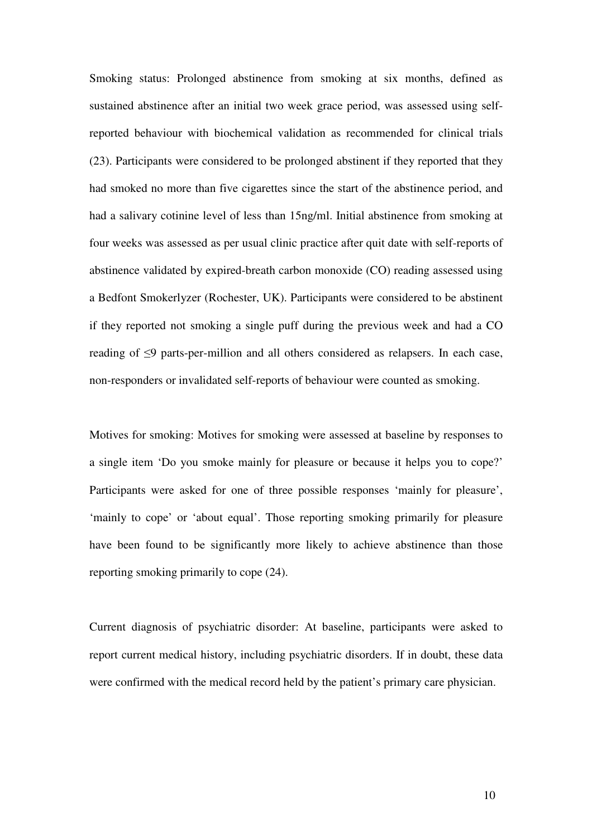Smoking status: Prolonged abstinence from smoking at six months, defined as sustained abstinence after an initial two week grace period, was assessed using selfreported behaviour with biochemical validation as recommended for clinical trials (23). Participants were considered to be prolonged abstinent if they reported that they had smoked no more than five cigarettes since the start of the abstinence period, and had a salivary cotinine level of less than 15ng/ml. Initial abstinence from smoking at four weeks was assessed as per usual clinic practice after quit date with self-reports of abstinence validated by expired-breath carbon monoxide (CO) reading assessed using a Bedfont Smokerlyzer (Rochester, UK). Participants were considered to be abstinent if they reported not smoking a single puff during the previous week and had a CO reading of ≤9 parts-per-million and all others considered as relapsers. In each case, non-responders or invalidated self-reports of behaviour were counted as smoking.

Motives for smoking: Motives for smoking were assessed at baseline by responses to a single item 'Do you smoke mainly for pleasure or because it helps you to cope?' Participants were asked for one of three possible responses 'mainly for pleasure', 'mainly to cope' or 'about equal'. Those reporting smoking primarily for pleasure have been found to be significantly more likely to achieve abstinence than those reporting smoking primarily to cope (24).

Current diagnosis of psychiatric disorder: At baseline, participants were asked to report current medical history, including psychiatric disorders. If in doubt, these data were confirmed with the medical record held by the patient's primary care physician.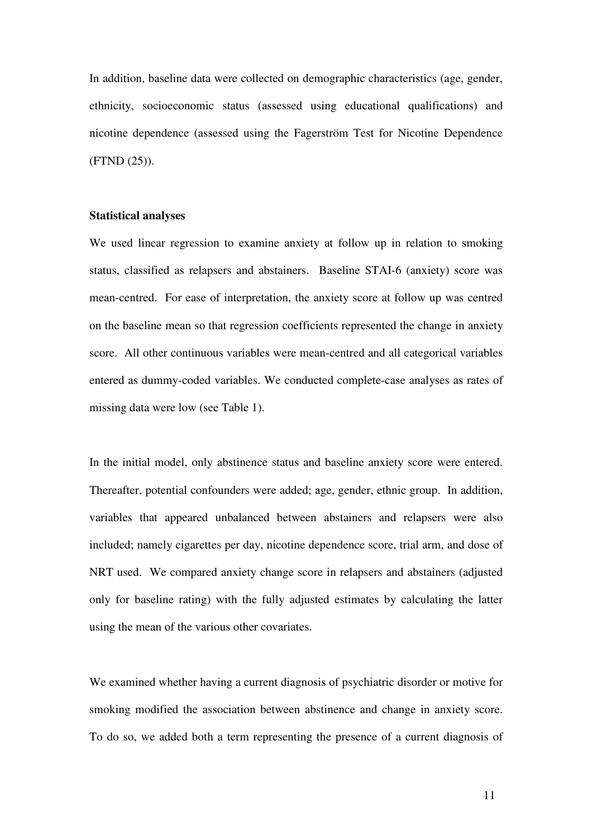In addition, baseline data were collected on demographic characteristics (age, gender, ethnicity, socioeconomic status (assessed using educational qualifications) and nicotine dependence (assessed using the Fagerström Test for Nicotine Dependence (FTND (25)).

#### **Statistical analyses**

We used linear regression to examine anxiety at follow up in relation to smoking status, classified as relapsers and abstainers. Baseline STAI-6 (anxiety) score was mean-centred. For ease of interpretation, the anxiety score at follow up was centred on the baseline mean so that regression coefficients represented the change in anxiety score. All other continuous variables were mean-centred and all categorical variables entered as dummy-coded variables. We conducted complete-case analyses as rates of missing data were low (see Table 1).

In the initial model, only abstinence status and baseline anxiety score were entered. Thereafter, potential confounders were added; age, gender, ethnic group. In addition, variables that appeared unbalanced between abstainers and relapsers were also included; namely cigarettes per day, nicotine dependence score, trial arm, and dose of NRT used. We compared anxiety change score in relapsers and abstainers (adjusted only for baseline rating) with the fully adjusted estimates by calculating the latter using the mean of the various other covariates.

We examined whether having a current diagnosis of psychiatric disorder or motive for smoking modified the association between abstinence and change in anxiety score. To do so, we added both a term representing the presence of a current diagnosis of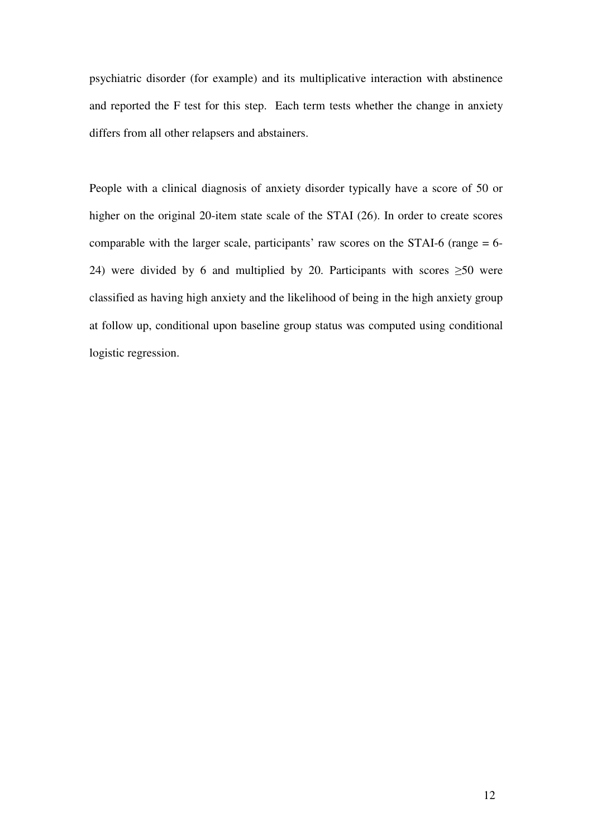psychiatric disorder (for example) and its multiplicative interaction with abstinence and reported the F test for this step. Each term tests whether the change in anxiety differs from all other relapsers and abstainers.

People with a clinical diagnosis of anxiety disorder typically have a score of 50 or higher on the original 20-item state scale of the STAI (26). In order to create scores comparable with the larger scale, participants' raw scores on the STAI-6 (range = 6- 24) were divided by 6 and multiplied by 20. Participants with scores  $\geq 50$  were classified as having high anxiety and the likelihood of being in the high anxiety group at follow up, conditional upon baseline group status was computed using conditional logistic regression.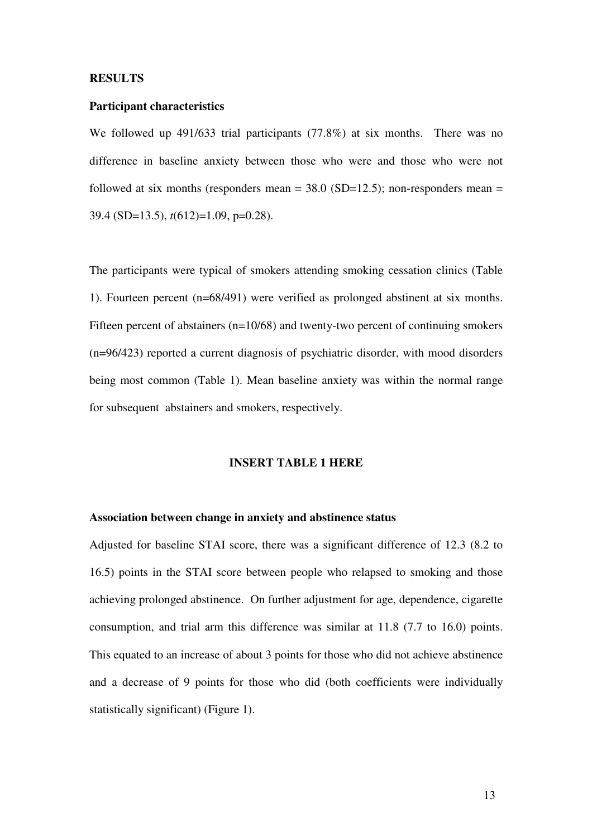#### **RESULTS**

#### **Participant characteristics**

We followed up 491/633 trial participants (77.8%) at six months. There was no difference in baseline anxiety between those who were and those who were not followed at six months (responders mean  $=$  38.0 (SD=12.5); non-responders mean  $=$ 39.4 (SD=13.5), *t*(612)=1.09, p=0.28).

The participants were typical of smokers attending smoking cessation clinics (Table 1). Fourteen percent (n=68/491) were verified as prolonged abstinent at six months. Fifteen percent of abstainers (n=10/68) and twenty-two percent of continuing smokers (n=96/423) reported a current diagnosis of psychiatric disorder, with mood disorders being most common (Table 1). Mean baseline anxiety was within the normal range for subsequent abstainers and smokers, respectively.

## **INSERT TABLE 1 HERE**

## **Association between change in anxiety and abstinence status**

Adjusted for baseline STAI score, there was a significant difference of 12.3 (8.2 to 16.5) points in the STAI score between people who relapsed to smoking and those achieving prolonged abstinence. On further adjustment for age, dependence, cigarette consumption, and trial arm this difference was similar at 11.8 (7.7 to 16.0) points. This equated to an increase of about 3 points for those who did not achieve abstinence and a decrease of 9 points for those who did (both coefficients were individually statistically significant) (Figure 1).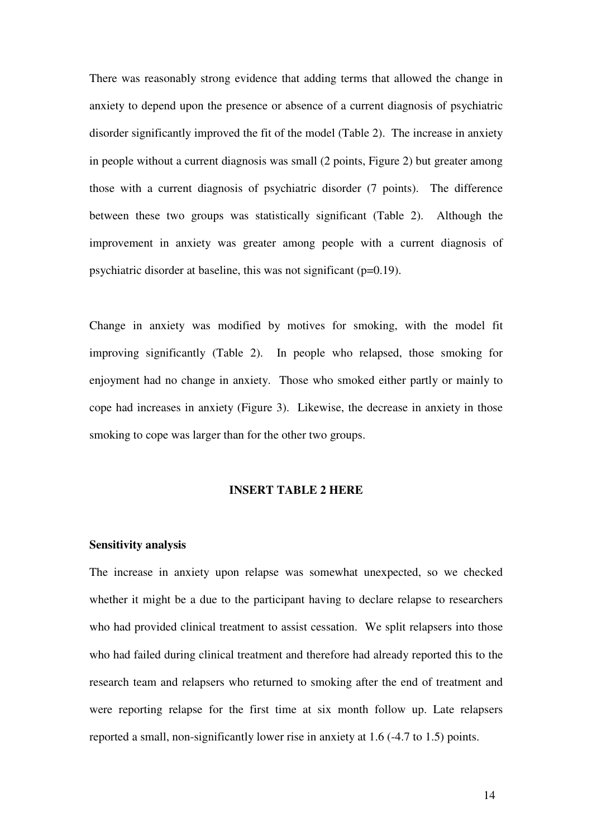There was reasonably strong evidence that adding terms that allowed the change in anxiety to depend upon the presence or absence of a current diagnosis of psychiatric disorder significantly improved the fit of the model (Table 2). The increase in anxiety in people without a current diagnosis was small (2 points, Figure 2) but greater among those with a current diagnosis of psychiatric disorder (7 points). The difference between these two groups was statistically significant (Table 2). Although the improvement in anxiety was greater among people with a current diagnosis of psychiatric disorder at baseline, this was not significant (p=0.19).

Change in anxiety was modified by motives for smoking, with the model fit improving significantly (Table 2). In people who relapsed, those smoking for enjoyment had no change in anxiety. Those who smoked either partly or mainly to cope had increases in anxiety (Figure 3). Likewise, the decrease in anxiety in those smoking to cope was larger than for the other two groups.

#### **INSERT TABLE 2 HERE**

#### **Sensitivity analysis**

The increase in anxiety upon relapse was somewhat unexpected, so we checked whether it might be a due to the participant having to declare relapse to researchers who had provided clinical treatment to assist cessation. We split relapsers into those who had failed during clinical treatment and therefore had already reported this to the research team and relapsers who returned to smoking after the end of treatment and were reporting relapse for the first time at six month follow up. Late relapsers reported a small, non-significantly lower rise in anxiety at 1.6 (-4.7 to 1.5) points.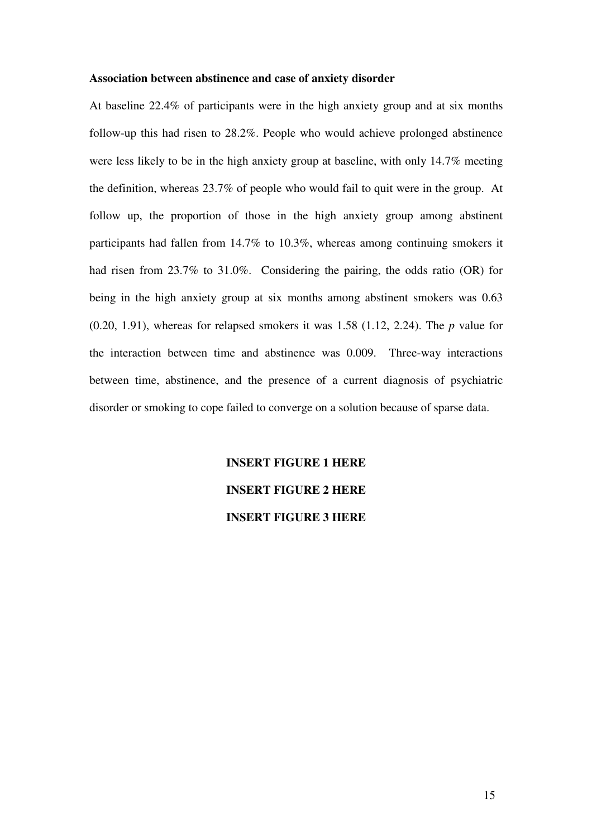#### **Association between abstinence and case of anxiety disorder**

At baseline 22.4% of participants were in the high anxiety group and at six months follow-up this had risen to 28.2%. People who would achieve prolonged abstinence were less likely to be in the high anxiety group at baseline, with only 14.7% meeting the definition, whereas 23.7% of people who would fail to quit were in the group. At follow up, the proportion of those in the high anxiety group among abstinent participants had fallen from 14.7% to 10.3%, whereas among continuing smokers it had risen from 23.7% to 31.0%. Considering the pairing, the odds ratio (OR) for being in the high anxiety group at six months among abstinent smokers was 0.63 (0.20, 1.91), whereas for relapsed smokers it was 1.58 (1.12, 2.24). The *p* value for the interaction between time and abstinence was 0.009. Three-way interactions between time, abstinence, and the presence of a current diagnosis of psychiatric disorder or smoking to cope failed to converge on a solution because of sparse data.

# **INSERT FIGURE 1 HERE INSERT FIGURE 2 HERE INSERT FIGURE 3 HERE**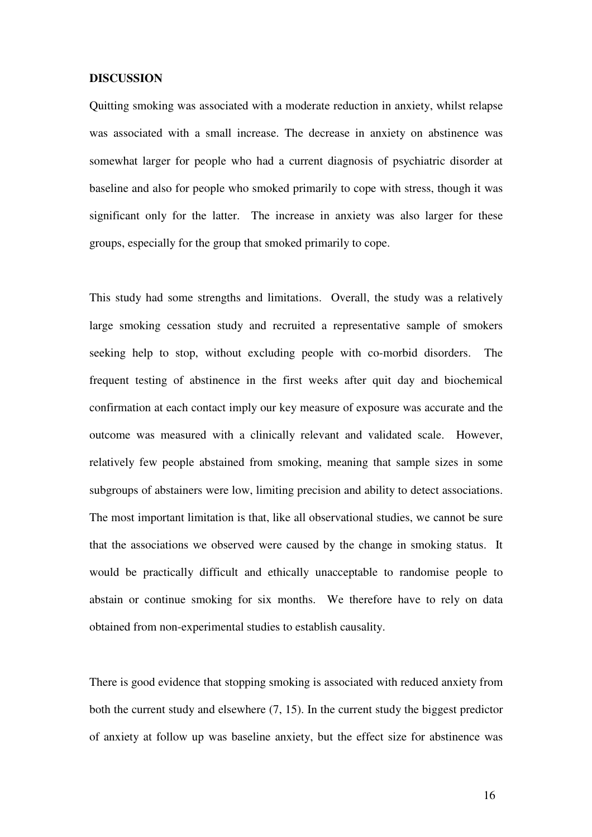#### **DISCUSSION**

Quitting smoking was associated with a moderate reduction in anxiety, whilst relapse was associated with a small increase. The decrease in anxiety on abstinence was somewhat larger for people who had a current diagnosis of psychiatric disorder at baseline and also for people who smoked primarily to cope with stress, though it was significant only for the latter. The increase in anxiety was also larger for these groups, especially for the group that smoked primarily to cope.

This study had some strengths and limitations. Overall, the study was a relatively large smoking cessation study and recruited a representative sample of smokers seeking help to stop, without excluding people with co-morbid disorders. The frequent testing of abstinence in the first weeks after quit day and biochemical confirmation at each contact imply our key measure of exposure was accurate and the outcome was measured with a clinically relevant and validated scale. However, relatively few people abstained from smoking, meaning that sample sizes in some subgroups of abstainers were low, limiting precision and ability to detect associations. The most important limitation is that, like all observational studies, we cannot be sure that the associations we observed were caused by the change in smoking status. It would be practically difficult and ethically unacceptable to randomise people to abstain or continue smoking for six months. We therefore have to rely on data obtained from non-experimental studies to establish causality.

There is good evidence that stopping smoking is associated with reduced anxiety from both the current study and elsewhere (7, 15). In the current study the biggest predictor of anxiety at follow up was baseline anxiety, but the effect size for abstinence was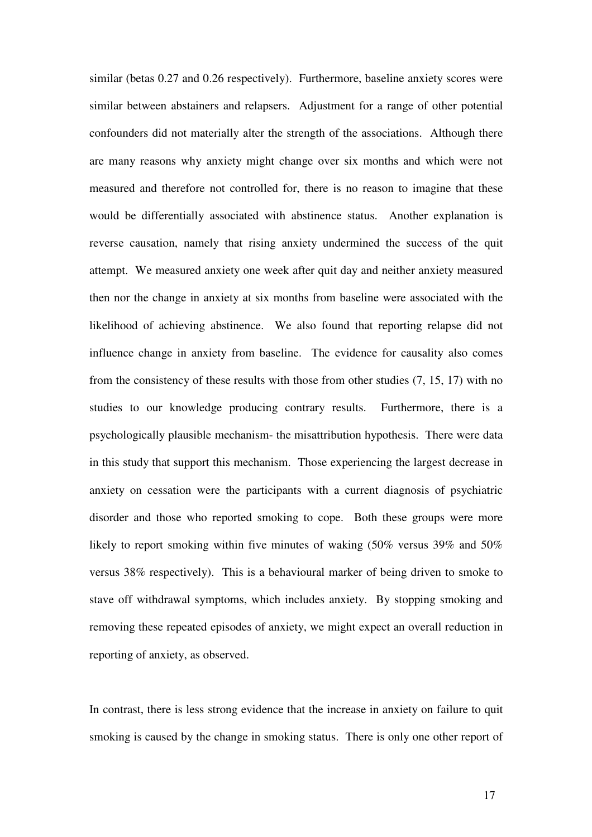similar (betas 0.27 and 0.26 respectively). Furthermore, baseline anxiety scores were similar between abstainers and relapsers. Adjustment for a range of other potential confounders did not materially alter the strength of the associations. Although there are many reasons why anxiety might change over six months and which were not measured and therefore not controlled for, there is no reason to imagine that these would be differentially associated with abstinence status. Another explanation is reverse causation, namely that rising anxiety undermined the success of the quit attempt. We measured anxiety one week after quit day and neither anxiety measured then nor the change in anxiety at six months from baseline were associated with the likelihood of achieving abstinence. We also found that reporting relapse did not influence change in anxiety from baseline. The evidence for causality also comes from the consistency of these results with those from other studies (7, 15, 17) with no studies to our knowledge producing contrary results. Furthermore, there is a psychologically plausible mechanism- the misattribution hypothesis. There were data in this study that support this mechanism. Those experiencing the largest decrease in anxiety on cessation were the participants with a current diagnosis of psychiatric disorder and those who reported smoking to cope. Both these groups were more likely to report smoking within five minutes of waking (50% versus 39% and 50% versus 38% respectively). This is a behavioural marker of being driven to smoke to stave off withdrawal symptoms, which includes anxiety. By stopping smoking and removing these repeated episodes of anxiety, we might expect an overall reduction in reporting of anxiety, as observed.

In contrast, there is less strong evidence that the increase in anxiety on failure to quit smoking is caused by the change in smoking status. There is only one other report of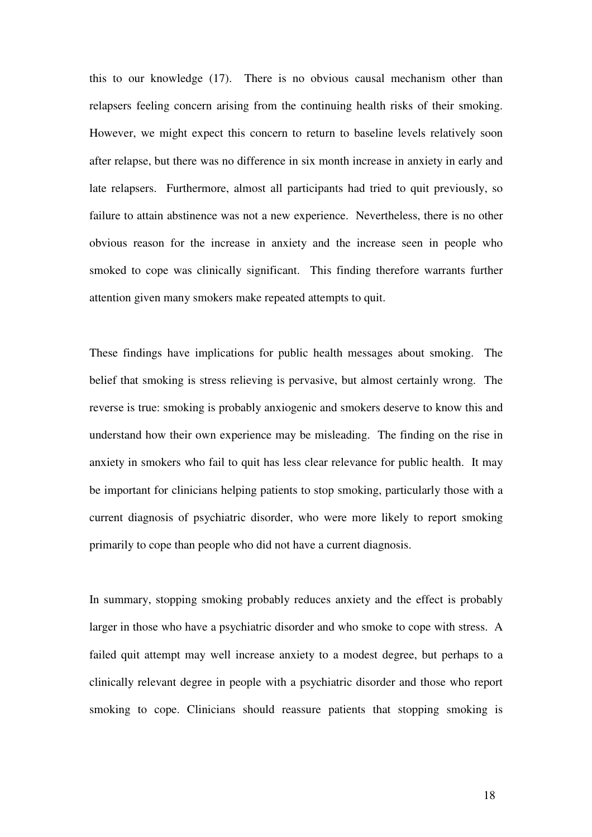this to our knowledge (17). There is no obvious causal mechanism other than relapsers feeling concern arising from the continuing health risks of their smoking. However, we might expect this concern to return to baseline levels relatively soon after relapse, but there was no difference in six month increase in anxiety in early and late relapsers. Furthermore, almost all participants had tried to quit previously, so failure to attain abstinence was not a new experience. Nevertheless, there is no other obvious reason for the increase in anxiety and the increase seen in people who smoked to cope was clinically significant. This finding therefore warrants further attention given many smokers make repeated attempts to quit.

These findings have implications for public health messages about smoking. The belief that smoking is stress relieving is pervasive, but almost certainly wrong. The reverse is true: smoking is probably anxiogenic and smokers deserve to know this and understand how their own experience may be misleading. The finding on the rise in anxiety in smokers who fail to quit has less clear relevance for public health. It may be important for clinicians helping patients to stop smoking, particularly those with a current diagnosis of psychiatric disorder, who were more likely to report smoking primarily to cope than people who did not have a current diagnosis.

In summary, stopping smoking probably reduces anxiety and the effect is probably larger in those who have a psychiatric disorder and who smoke to cope with stress. A failed quit attempt may well increase anxiety to a modest degree, but perhaps to a clinically relevant degree in people with a psychiatric disorder and those who report smoking to cope. Clinicians should reassure patients that stopping smoking is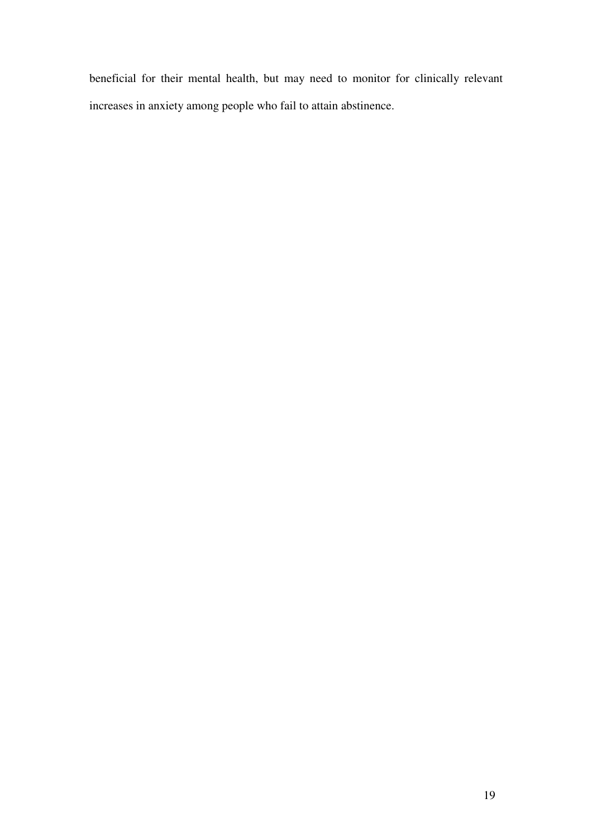beneficial for their mental health, but may need to monitor for clinically relevant increases in anxiety among people who fail to attain abstinence.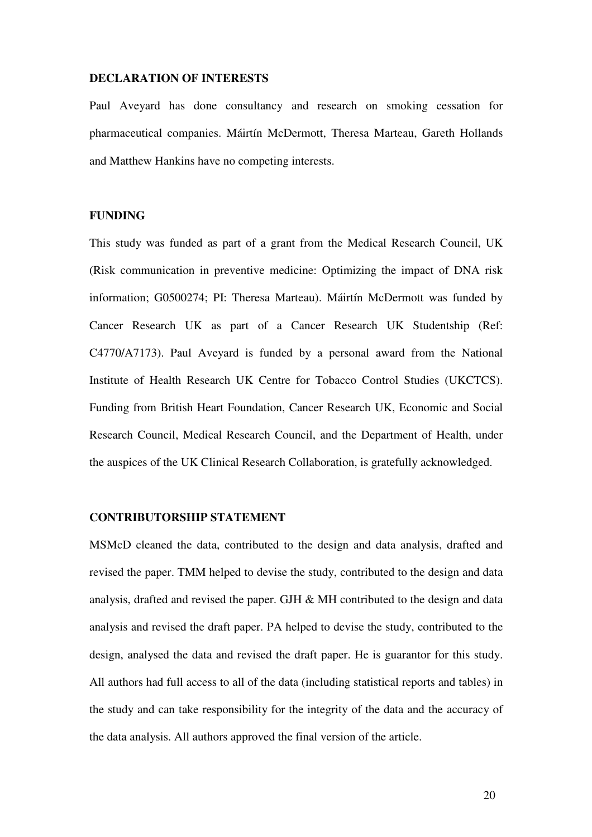#### **DECLARATION OF INTERESTS**

Paul Aveyard has done consultancy and research on smoking cessation for pharmaceutical companies. Máirtín McDermott, Theresa Marteau, Gareth Hollands and Matthew Hankins have no competing interests.

# **FUNDING**

This study was funded as part of a grant from the Medical Research Council, UK (Risk communication in preventive medicine: Optimizing the impact of DNA risk information; G0500274; PI: Theresa Marteau). Máirtín McDermott was funded by Cancer Research UK as part of a Cancer Research UK Studentship (Ref: C4770/A7173). Paul Aveyard is funded by a personal award from the National Institute of Health Research UK Centre for Tobacco Control Studies (UKCTCS). Funding from British Heart Foundation, Cancer Research UK, Economic and Social Research Council, Medical Research Council, and the Department of Health, under the auspices of the UK Clinical Research Collaboration, is gratefully acknowledged.

# **CONTRIBUTORSHIP STATEMENT**

MSMcD cleaned the data, contributed to the design and data analysis, drafted and revised the paper. TMM helped to devise the study, contributed to the design and data analysis, drafted and revised the paper. GJH & MH contributed to the design and data analysis and revised the draft paper. PA helped to devise the study, contributed to the design, analysed the data and revised the draft paper. He is guarantor for this study. All authors had full access to all of the data (including statistical reports and tables) in the study and can take responsibility for the integrity of the data and the accuracy of the data analysis. All authors approved the final version of the article.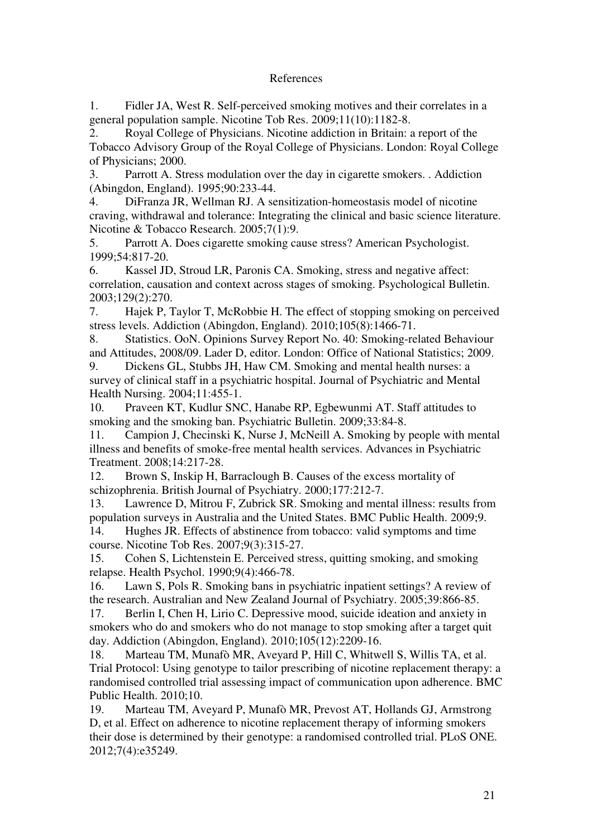# References

1. Fidler JA, West R. Self-perceived smoking motives and their correlates in a general population sample. Nicotine Tob Res. 2009;11(10):1182-8.

2. Royal College of Physicians. Nicotine addiction in Britain: a report of the Tobacco Advisory Group of the Royal College of Physicians. London: Royal College of Physicians; 2000.

3. Parrott A. Stress modulation over the day in cigarette smokers. . Addiction (Abingdon, England). 1995;90:233-44.

4. DiFranza JR, Wellman RJ. A sensitization-homeostasis model of nicotine craving, withdrawal and tolerance: Integrating the clinical and basic science literature. Nicotine & Tobacco Research. 2005;7(1):9.

5. Parrott A. Does cigarette smoking cause stress? American Psychologist. 1999;54:817-20.

6. Kassel JD, Stroud LR, Paronis CA. Smoking, stress and negative affect: correlation, causation and context across stages of smoking. Psychological Bulletin. 2003;129(2):270.

7. Hajek P, Taylor T, McRobbie H. The effect of stopping smoking on perceived stress levels. Addiction (Abingdon, England). 2010;105(8):1466-71.

8. Statistics. OoN. Opinions Survey Report No. 40: Smoking-related Behaviour and Attitudes, 2008/09. Lader D, editor. London: Office of National Statistics; 2009.

9. Dickens GL, Stubbs JH, Haw CM. Smoking and mental health nurses: a survey of clinical staff in a psychiatric hospital. Journal of Psychiatric and Mental Health Nursing. 2004;11:455-1.

10. Praveen KT, Kudlur SNC, Hanabe RP, Egbewunmi AT. Staff attitudes to smoking and the smoking ban. Psychiatric Bulletin. 2009;33:84-8.

11. Campion J, Checinski K, Nurse J, McNeill A. Smoking by people with mental illness and benefits of smoke-free mental health services. Advances in Psychiatric Treatment. 2008;14:217-28.

12. Brown S, Inskip H, Barraclough B. Causes of the excess mortality of schizophrenia. British Journal of Psychiatry. 2000;177:212-7.

13. Lawrence D, Mitrou F, Zubrick SR. Smoking and mental illness: results from population surveys in Australia and the United States. BMC Public Health. 2009;9.

14. Hughes JR. Effects of abstinence from tobacco: valid symptoms and time course. Nicotine Tob Res. 2007;9(3):315-27.

15. Cohen S, Lichtenstein E. Perceived stress, quitting smoking, and smoking relapse. Health Psychol. 1990;9(4):466-78.

16. Lawn S, Pols R. Smoking bans in psychiatric inpatient settings? A review of the research. Australian and New Zealand Journal of Psychiatry. 2005;39:866-85.

17. Berlin I, Chen H, Lirio C. Depressive mood, suicide ideation and anxiety in smokers who do and smokers who do not manage to stop smoking after a target quit day. Addiction (Abingdon, England). 2010;105(12):2209-16.

18. Marteau TM, Munafò MR, Aveyard P, Hill C, Whitwell S, Willis TA, et al. Trial Protocol: Using genotype to tailor prescribing of nicotine replacement therapy: a randomised controlled trial assessing impact of communication upon adherence. BMC Public Health. 2010;10.

19. Marteau TM, Aveyard P, Munafò MR, Prevost AT, Hollands GJ, Armstrong D, et al. Effect on adherence to nicotine replacement therapy of informing smokers their dose is determined by their genotype: a randomised controlled trial. PLoS ONE. 2012;7(4):e35249.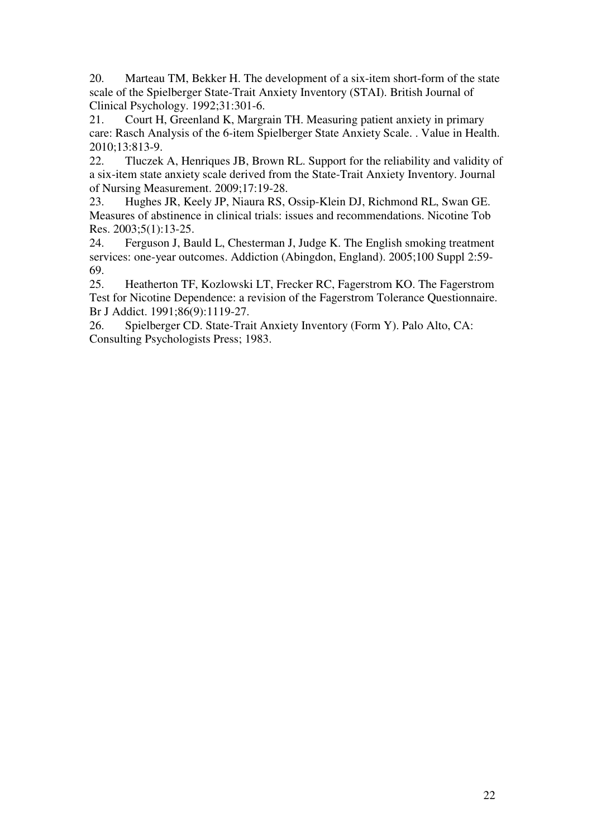20. Marteau TM, Bekker H. The development of a six-item short-form of the state scale of the Spielberger State-Trait Anxiety Inventory (STAI). British Journal of Clinical Psychology. 1992;31:301-6.

21. Court H, Greenland K, Margrain TH. Measuring patient anxiety in primary care: Rasch Analysis of the 6-item Spielberger State Anxiety Scale. . Value in Health. 2010;13:813-9.

22. Tluczek A, Henriques JB, Brown RL. Support for the reliability and validity of a six-item state anxiety scale derived from the State-Trait Anxiety Inventory. Journal of Nursing Measurement. 2009;17:19-28.

23. Hughes JR, Keely JP, Niaura RS, Ossip-Klein DJ, Richmond RL, Swan GE. Measures of abstinence in clinical trials: issues and recommendations. Nicotine Tob Res. 2003;5(1):13-25.

24. Ferguson J, Bauld L, Chesterman J, Judge K. The English smoking treatment services: one-year outcomes. Addiction (Abingdon, England). 2005;100 Suppl 2:59- 69.

25. Heatherton TF, Kozlowski LT, Frecker RC, Fagerstrom KO. The Fagerstrom Test for Nicotine Dependence: a revision of the Fagerstrom Tolerance Questionnaire. Br J Addict. 1991;86(9):1119-27.

26. Spielberger CD. State-Trait Anxiety Inventory (Form Y). Palo Alto, CA: Consulting Psychologists Press; 1983.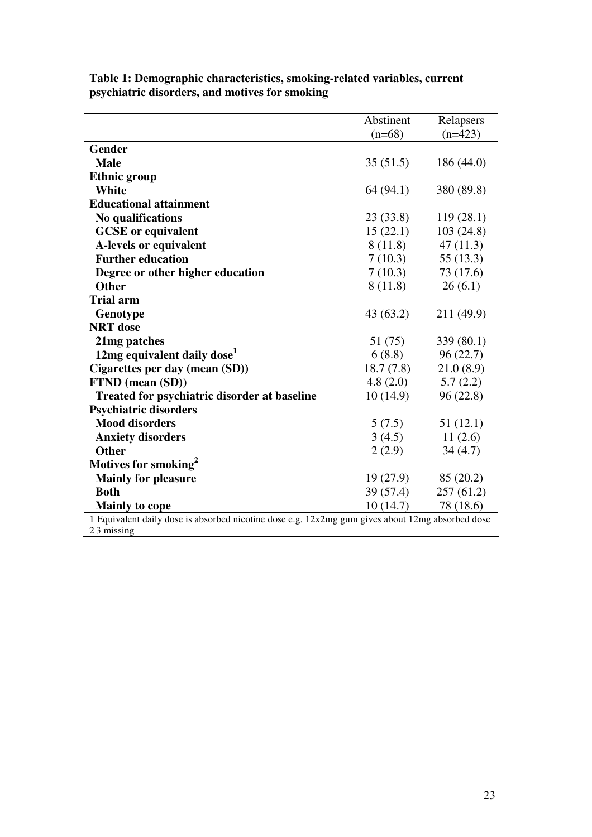|                                                                                                                | Abstinent<br>$(n=68)$  | Relapsers<br>$(n=423)$ |  |
|----------------------------------------------------------------------------------------------------------------|------------------------|------------------------|--|
| Gender                                                                                                         |                        |                        |  |
| <b>Male</b>                                                                                                    | 35(51.5)               | 186 (44.0)             |  |
| <b>Ethnic group</b>                                                                                            |                        |                        |  |
| White                                                                                                          | 64 (94.1)              | 380 (89.8)             |  |
| <b>Educational attainment</b>                                                                                  |                        |                        |  |
| No qualifications                                                                                              | 23(33.8)               | 119(28.1)              |  |
| <b>GCSE</b> or equivalent                                                                                      | 15(22.1)<br>103(24.8)  |                        |  |
| A-levels or equivalent                                                                                         | 47(11.3)<br>8(11.8)    |                        |  |
| <b>Further education</b>                                                                                       | 7(10.3)                | 55(13.3)               |  |
| Degree or other higher education                                                                               | 7(10.3)                | 73 (17.6)              |  |
| <b>Other</b>                                                                                                   | 8(11.8)                | 26(6.1)                |  |
| <b>Trial arm</b>                                                                                               |                        |                        |  |
| Genotype                                                                                                       | 43(63.2)               | 211 (49.9)             |  |
| <b>NRT</b> dose                                                                                                |                        |                        |  |
| 21 <sub>mg</sub> patches                                                                                       | 51 (75)                | 339 (80.1)             |  |
| 12mg equivalent daily dose <sup>1</sup>                                                                        | 6(8.8)<br>96(22.7)     |                        |  |
| Cigarettes per day (mean (SD))                                                                                 | 18.7(7.8)<br>21.0(8.9) |                        |  |
| FTND (mean (SD))                                                                                               | 4.8(2.0)<br>5.7(2.2)   |                        |  |
| <b>Treated for psychiatric disorder at baseline</b>                                                            | 10(14.9)               | 96(22.8)               |  |
| <b>Psychiatric disorders</b>                                                                                   |                        |                        |  |
| <b>Mood disorders</b>                                                                                          | 5(7.5)                 | 51(12.1)               |  |
| <b>Anxiety disorders</b>                                                                                       | 3(4.5)                 | 11(2.6)                |  |
| <b>Other</b>                                                                                                   | 2(2.9)                 | 34(4.7)                |  |
| Motives for smoking <sup>2</sup>                                                                               |                        |                        |  |
| <b>Mainly for pleasure</b>                                                                                     | 19(27.9)               | 85(20.2)               |  |
| <b>Both</b>                                                                                                    | 39 (57.4)              | 257(61.2)              |  |
| <b>Mainly to cope</b>                                                                                          | 10(14.7)               | 78 (18.6)              |  |
| 1 Equivalent daily dose is absorbed nicotine dose e.g. 12x2mg gum gives about 12mg absorbed dose<br>23 missing |                        |                        |  |

**Table 1: Demographic characteristics, smoking-related variables, current psychiatric disorders, and motives for smoking**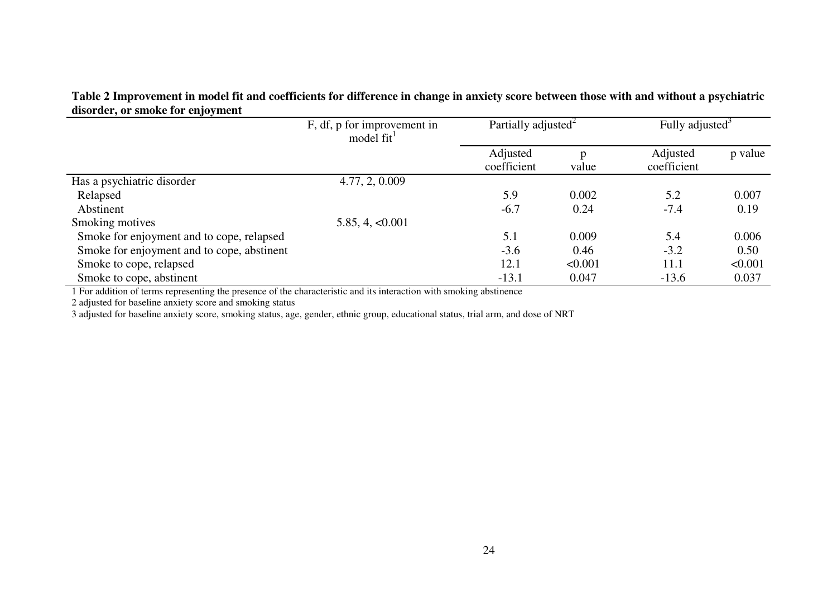# **Table 2 Improvement in model fit and coefficients for difference in change in anxiety score between those with and without a psychiatric disorder, or smoke for enjoyment**

| and act, of smoke for enjoyment            |                                                       |                                 |         |                             |         |
|--------------------------------------------|-------------------------------------------------------|---------------------------------|---------|-----------------------------|---------|
|                                            | F, df, p for improvement in<br>model fit <sup>1</sup> | Partially adjusted <sup>2</sup> |         | Fully adjusted <sup>3</sup> |         |
|                                            |                                                       | Adjusted<br>coefficient         | value   | Adjusted<br>coefficient     | p value |
| Has a psychiatric disorder                 | 4.77, 2, 0.009                                        |                                 |         |                             |         |
| Relapsed                                   |                                                       | 5.9                             | 0.002   | 5.2                         | 0.007   |
| Abstinent                                  |                                                       | $-6.7$                          | 0.24    | $-7.4$                      | 0.19    |
| Smoking motives                            | 5.85, 4, <0.001                                       |                                 |         |                             |         |
| Smoke for enjoyment and to cope, relapsed  |                                                       | 5.1                             | 0.009   | 5.4                         | 0.006   |
| Smoke for enjoyment and to cope, abstinent |                                                       | $-3.6$                          | 0.46    | $-3.2$                      | 0.50    |
| Smoke to cope, relapsed                    |                                                       | 12.1                            | < 0.001 | 11.1                        | < 0.001 |
| Smoke to cope, abstinent                   |                                                       | $-13.1$                         | 0.047   | $-13.6$                     | 0.037   |

1 For addition of terms representing the presence of the characteristic and its interaction with smoking abstinence

2 adjusted for baseline anxiety score and smoking status

3 adjusted for baseline anxiety score, smoking status, age, gender, ethnic group, educational status, trial arm, and dose of NRT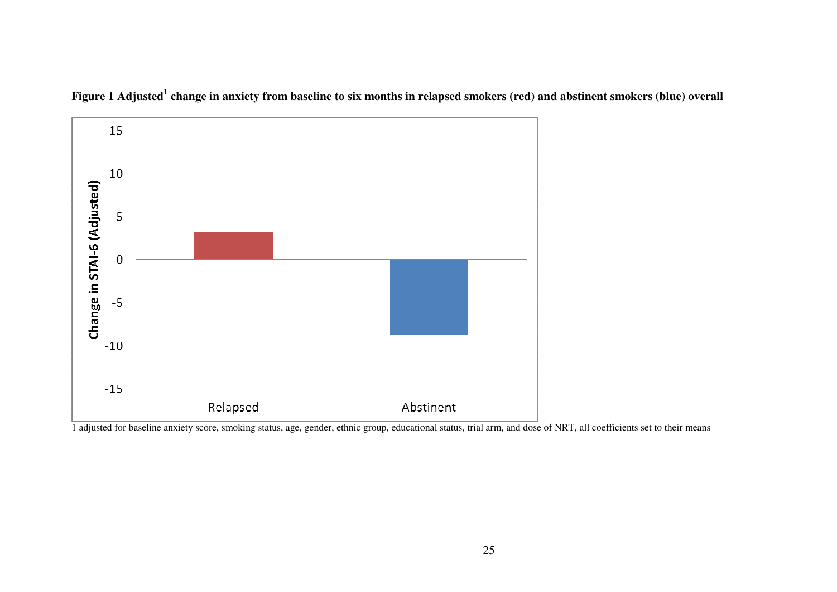

**Figure 1 Adjusted<sup>1</sup> change in anxiety from baseline to six months in relapsed smokers (red) and abstinent smokers (blue) overall** 

1 adjusted for baseline anxiety score, smoking status, age, gender, ethnic group, educational status, trial arm, and dose of NRT, all coefficients set to their means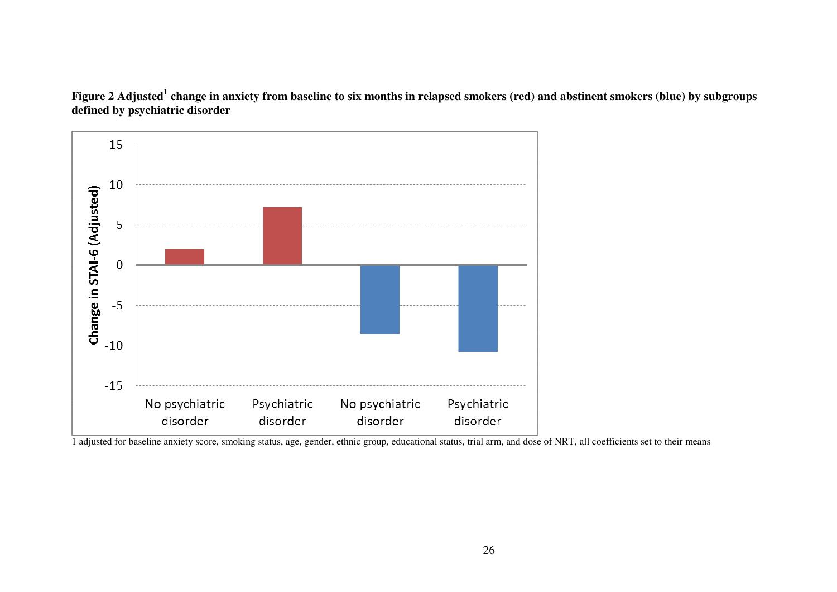



<sup>1</sup> adjusted for baseline anxiety score, smoking status, age, gender, ethnic group, educational status, trial arm, and dose of NRT, all coefficients set to their means